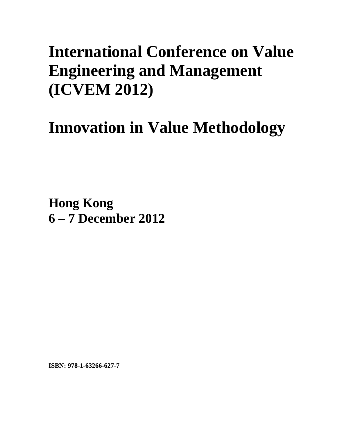## **International Conference on Value Engineering and Management (ICVEM 2012)**

# **Innovation in Value Methodology**

**Hong Kong 6 – 7 December 2012**

**ISBN: 978-1-63266-627-7**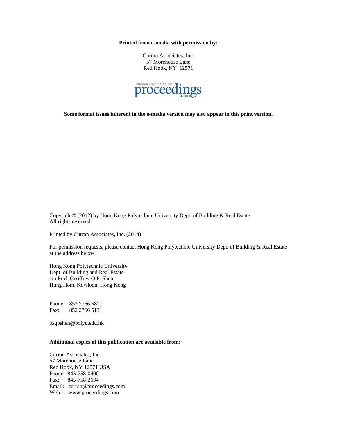**Printed from e-media with permission by:** 

Curran Associates, Inc. 57 Morehouse Lane Red Hook, NY 12571



**Some format issues inherent in the e-media version may also appear in this print version.** 

Copyright© (2012) by Hong Kong Polytechnic University Dept. of Building & Real Estate All rights reserved.

Printed by Curran Associates, Inc. (2014)

For permission requests, please contact Hong Kong Polytechnic University Dept. of Building & Real Estate at the address below.

Hong Kong Polytechnic University Dept. of Building and Real Estate c/o Prof. Geoffrey Q.P. Shen Hung Hom, Kowloon, Hong Kong

Phone: 852 2766 5817 Fax: 852 2766 5131

bsqpshen@polyu.edu.hk

#### **Additional copies of this publication are available from:**

Curran Associates, Inc. 57 Morehouse Lane Red Hook, NY 12571 USA Phone: 845-758-0400 Fax: 845-758-2634 Email: curran@proceedings.com Web: www.proceedings.com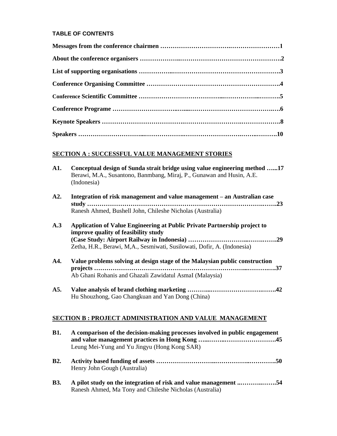### **TABLE OF CONTENTS**

## **SECTION A : SUCCESSFUL VALUE MANAGEMENT STORIES**

| A1.                                                           | Conceptual design of Sunda strait bridge using value engineering method 17<br>Berawi, M.A., Susantono, Banmbang, Miraj, P., Gunawan and Husin, A.E.<br>(Indonesia)                           |  |
|---------------------------------------------------------------|----------------------------------------------------------------------------------------------------------------------------------------------------------------------------------------------|--|
| A2.                                                           | Integration of risk management and value management - an Australian case<br>Ranesh Ahmed, Bushell John, Chileshe Nicholas (Australia)                                                        |  |
| A.3                                                           | Application of Value Engineering at Public Private Partnership project to<br>improve quality of feasibility study<br>Zetha, H.R., Berawi, M,A., Sesmiwati, Susilowati, Dofir, A. (Indonesia) |  |
| A4.                                                           | Value problems solving at design stage of the Malaysian public construction<br>Ab Ghani Rohanis and Ghazali Zawidatul AsmaI (Malaysia)                                                       |  |
| A5.                                                           | Hu Shouzhong, Gao Changkuan and Yan Dong (China)                                                                                                                                             |  |
| <b>SECTION B: PROJECT ADMINISTRATION AND VALUE MANAGEMENT</b> |                                                                                                                                                                                              |  |
| <b>B1.</b>                                                    | A comparison of the decision-making processes involved in public engagement<br>Leung Mei-Yung and Yu Jingyu (Hong Kong SAR)                                                                  |  |
| <b>B2.</b>                                                    | Henry John Gough (Australia)                                                                                                                                                                 |  |
| <b>B3.</b>                                                    | A pilot study on the integration of risk and value management 54<br>Ranesh Ahmed, Ma Tony and Chileshe Nicholas (Australia)                                                                  |  |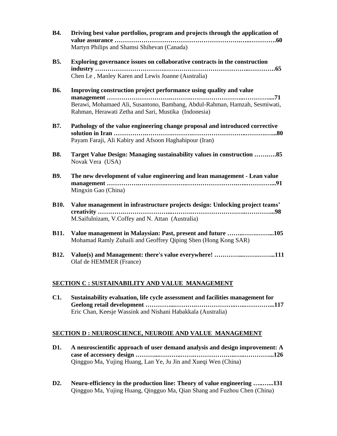| <b>B4.</b>  | Driving best value portfolios, program and projects through the application of<br>Martyn Philips and Shamsi Shihevan (Canada)                                                                            |
|-------------|----------------------------------------------------------------------------------------------------------------------------------------------------------------------------------------------------------|
| <b>B5.</b>  | Exploring governance issues on collaborative contracts in the construction<br>Chen Le, Manley Karen and Lewis Joanne (Australia)                                                                         |
| <b>B6.</b>  | Improving construction project performance using quality and value<br>Berawi, Mohamaed Ali, Susantono, Bambang, Abdul-Rahman, Hamzah, Sesmiwati,<br>Rahman, Herawati Zetha and Sari, Mustika (Indonesia) |
| <b>B7.</b>  | Pathology of the value engineering change proposal and introduced corrective<br>Payam Faraji, Ali Kabiry and Afsoon Haghahipour (Iran)                                                                   |
| <b>B8.</b>  | Target Value Design: Managing sustainability values in construction 85<br>Novak Vera (USA)                                                                                                               |
| <b>B9.</b>  | The new development of value engineering and lean management - Lean value<br>Mingxin Gao (China)                                                                                                         |
| <b>B10.</b> | Value management in infrastructure projects design: Unlocking project teams'<br>creativity<br>M.Saifulnizam, V.Coffey and N. Attan (Australia)                                                           |
| <b>B11.</b> | Value management in Malaysian: Past, present and future 105<br>Mohamad Ramly Zuhaili and Geoffrey Qiping Shen (Hong Kong SAR)                                                                            |
| <b>B12.</b> | Value(s) and Management: there's value everywhere! 111<br>Olaf de HEMMER (France)                                                                                                                        |

### **SECTION C : SUSTAINABILITY AND VALUE MANAGEMENT**

**C1. Sustainability evaluation, life cycle assessment and facilities management for Geelong retail development …………...……….………………..…..…………...117** Eric Chan, Keesje Wassink and Nishani Habakkala (Australia)

#### **SECTION D : NEUROSCIENCE, NEUROIE AND VALUE MANAGEMENT**

- **D1. A neuroscientific approach of user demand analysis and design improvement: A case of accessory design ………...………..…….………………..…..…………...126** Qingguo Ma, Yujing Huang, Lan Ye, Ju Jin and Xueqi Wen (China)
- **D2. Neuro-efficiency in the production line: Theory of value engineering …..…...131** Qingguo Ma, Yujing Huang, Qingguo Ma, Qian Shang and Fuzhou Chen (China)